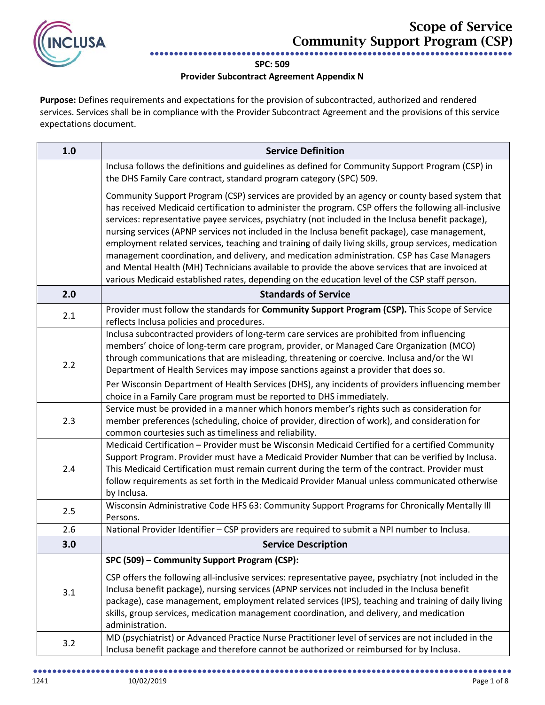

## **SPC: 509**

## **Provider Subcontract Agreement Appendix N**

**Purpose:** Defines requirements and expectations for the provision of subcontracted, authorized and rendered services. Services shall be in compliance with the Provider Subcontract Agreement and the provisions of this service expectations document.

| 1.0 | <b>Service Definition</b>                                                                                                                                                                                                                                                                                                                                                                                                                                                                                                                                                                                                                                                                                                                                                                                                   |
|-----|-----------------------------------------------------------------------------------------------------------------------------------------------------------------------------------------------------------------------------------------------------------------------------------------------------------------------------------------------------------------------------------------------------------------------------------------------------------------------------------------------------------------------------------------------------------------------------------------------------------------------------------------------------------------------------------------------------------------------------------------------------------------------------------------------------------------------------|
|     | Inclusa follows the definitions and guidelines as defined for Community Support Program (CSP) in<br>the DHS Family Care contract, standard program category (SPC) 509.                                                                                                                                                                                                                                                                                                                                                                                                                                                                                                                                                                                                                                                      |
|     | Community Support Program (CSP) services are provided by an agency or county based system that<br>has received Medicaid certification to administer the program. CSP offers the following all-inclusive<br>services: representative payee services, psychiatry (not included in the Inclusa benefit package),<br>nursing services (APNP services not included in the Inclusa benefit package), case management,<br>employment related services, teaching and training of daily living skills, group services, medication<br>management coordination, and delivery, and medication administration. CSP has Case Managers<br>and Mental Health (MH) Technicians available to provide the above services that are invoiced at<br>various Medicaid established rates, depending on the education level of the CSP staff person. |
| 2.0 | <b>Standards of Service</b>                                                                                                                                                                                                                                                                                                                                                                                                                                                                                                                                                                                                                                                                                                                                                                                                 |
| 2.1 | Provider must follow the standards for Community Support Program (CSP). This Scope of Service<br>reflects Inclusa policies and procedures.                                                                                                                                                                                                                                                                                                                                                                                                                                                                                                                                                                                                                                                                                  |
| 2.2 | Inclusa subcontracted providers of long-term care services are prohibited from influencing<br>members' choice of long-term care program, provider, or Managed Care Organization (MCO)<br>through communications that are misleading, threatening or coercive. Inclusa and/or the WI<br>Department of Health Services may impose sanctions against a provider that does so.<br>Per Wisconsin Department of Health Services (DHS), any incidents of providers influencing member                                                                                                                                                                                                                                                                                                                                              |
| 2.3 | choice in a Family Care program must be reported to DHS immediately.<br>Service must be provided in a manner which honors member's rights such as consideration for<br>member preferences (scheduling, choice of provider, direction of work), and consideration for                                                                                                                                                                                                                                                                                                                                                                                                                                                                                                                                                        |
| 2.4 | common courtesies such as timeliness and reliability.<br>Medicaid Certification - Provider must be Wisconsin Medicaid Certified for a certified Community<br>Support Program. Provider must have a Medicaid Provider Number that can be verified by Inclusa.<br>This Medicaid Certification must remain current during the term of the contract. Provider must<br>follow requirements as set forth in the Medicaid Provider Manual unless communicated otherwise<br>by Inclusa.                                                                                                                                                                                                                                                                                                                                             |
| 2.5 | Wisconsin Administrative Code HFS 63: Community Support Programs for Chronically Mentally III<br>Persons.                                                                                                                                                                                                                                                                                                                                                                                                                                                                                                                                                                                                                                                                                                                   |
| 2.6 | National Provider Identifier - CSP providers are required to submit a NPI number to Inclusa.                                                                                                                                                                                                                                                                                                                                                                                                                                                                                                                                                                                                                                                                                                                                |
| 3.0 | <b>Service Description</b>                                                                                                                                                                                                                                                                                                                                                                                                                                                                                                                                                                                                                                                                                                                                                                                                  |
| 3.1 | SPC (509) - Community Support Program (CSP):<br>CSP offers the following all-inclusive services: representative payee, psychiatry (not included in the<br>Inclusa benefit package), nursing services (APNP services not included in the Inclusa benefit<br>package), case management, employment related services (IPS), teaching and training of daily living<br>skills, group services, medication management coordination, and delivery, and medication<br>administration.                                                                                                                                                                                                                                                                                                                                               |
| 3.2 | MD (psychiatrist) or Advanced Practice Nurse Practitioner level of services are not included in the<br>Inclusa benefit package and therefore cannot be authorized or reimbursed for by Inclusa.                                                                                                                                                                                                                                                                                                                                                                                                                                                                                                                                                                                                                             |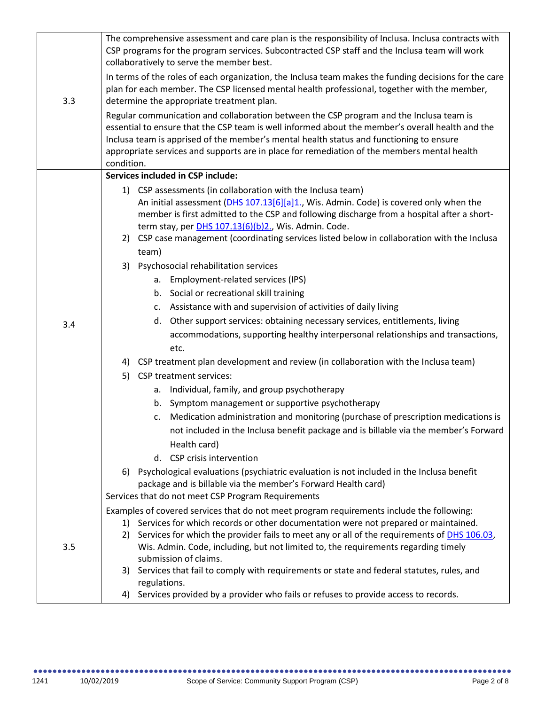| 3.3 | The comprehensive assessment and care plan is the responsibility of Inclusa. Inclusa contracts with<br>CSP programs for the program services. Subcontracted CSP staff and the Inclusa team will work<br>collaboratively to serve the member best.                                                                                                                                                          |
|-----|------------------------------------------------------------------------------------------------------------------------------------------------------------------------------------------------------------------------------------------------------------------------------------------------------------------------------------------------------------------------------------------------------------|
|     | In terms of the roles of each organization, the Inclusa team makes the funding decisions for the care<br>plan for each member. The CSP licensed mental health professional, together with the member,<br>determine the appropriate treatment plan.                                                                                                                                                         |
|     | Regular communication and collaboration between the CSP program and the Inclusa team is<br>essential to ensure that the CSP team is well informed about the member's overall health and the<br>Inclusa team is apprised of the member's mental health status and functioning to ensure<br>appropriate services and supports are in place for remediation of the members mental health<br>condition.        |
|     | Services included in CSP include:                                                                                                                                                                                                                                                                                                                                                                          |
|     | 1) CSP assessments (in collaboration with the Inclusa team)<br>An initial assessment (DHS 107.13[6][a]1., Wis. Admin. Code) is covered only when the<br>member is first admitted to the CSP and following discharge from a hospital after a short-<br>term stay, per DHS 107.13(6)(b)2., Wis. Admin. Code.<br>2) CSP case management (coordinating services listed below in collaboration with the Inclusa |
|     | team)                                                                                                                                                                                                                                                                                                                                                                                                      |
|     | 3) Psychosocial rehabilitation services                                                                                                                                                                                                                                                                                                                                                                    |
|     | a. Employment-related services (IPS)                                                                                                                                                                                                                                                                                                                                                                       |
|     | b. Social or recreational skill training                                                                                                                                                                                                                                                                                                                                                                   |
|     | c. Assistance with and supervision of activities of daily living                                                                                                                                                                                                                                                                                                                                           |
| 3.4 | d. Other support services: obtaining necessary services, entitlements, living                                                                                                                                                                                                                                                                                                                              |
|     | accommodations, supporting healthy interpersonal relationships and transactions,<br>etc.                                                                                                                                                                                                                                                                                                                   |
|     | 4) CSP treatment plan development and review (in collaboration with the Inclusa team)                                                                                                                                                                                                                                                                                                                      |
|     | <b>CSP</b> treatment services:<br>5)                                                                                                                                                                                                                                                                                                                                                                       |
|     | Individual, family, and group psychotherapy<br>а.                                                                                                                                                                                                                                                                                                                                                          |
|     | b. Symptom management or supportive psychotherapy                                                                                                                                                                                                                                                                                                                                                          |
|     | c. Medication administration and monitoring (purchase of prescription medications is<br>not included in the Inclusa benefit package and is billable via the member's Forward<br>Health card)                                                                                                                                                                                                               |
|     | d. CSP crisis intervention                                                                                                                                                                                                                                                                                                                                                                                 |
|     | Psychological evaluations (psychiatric evaluation is not included in the Inclusa benefit<br>6)<br>package and is billable via the member's Forward Health card)                                                                                                                                                                                                                                            |
| 3.5 | Services that do not meet CSP Program Requirements                                                                                                                                                                                                                                                                                                                                                         |
|     | Examples of covered services that do not meet program requirements include the following:                                                                                                                                                                                                                                                                                                                  |
|     | Services for which records or other documentation were not prepared or maintained.<br>1)<br>2)                                                                                                                                                                                                                                                                                                             |
|     | Services for which the provider fails to meet any or all of the requirements of DHS 106.03,<br>Wis. Admin. Code, including, but not limited to, the requirements regarding timely                                                                                                                                                                                                                          |
|     | submission of claims.                                                                                                                                                                                                                                                                                                                                                                                      |
|     | Services that fail to comply with requirements or state and federal statutes, rules, and<br>3)                                                                                                                                                                                                                                                                                                             |
|     | regulations.<br>Services provided by a provider who fails or refuses to provide access to records.                                                                                                                                                                                                                                                                                                         |
|     | 4)                                                                                                                                                                                                                                                                                                                                                                                                         |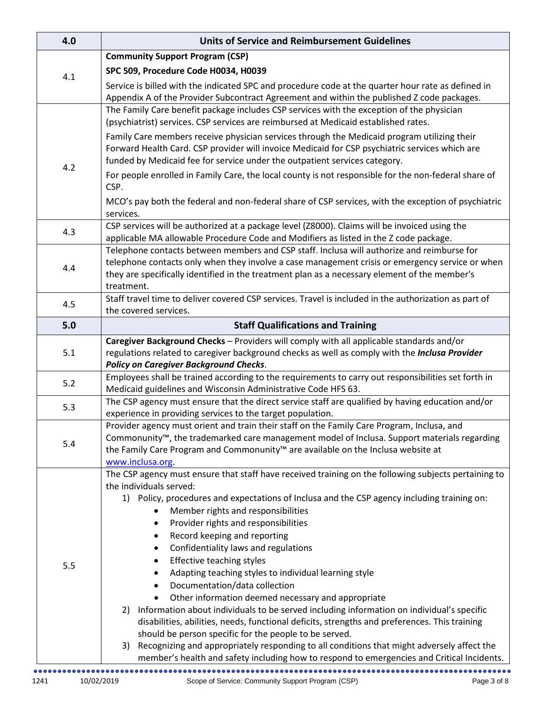| 4.0 | <b>Units of Service and Reimbursement Guidelines</b>                                                                                                                                             |
|-----|--------------------------------------------------------------------------------------------------------------------------------------------------------------------------------------------------|
|     | <b>Community Support Program (CSP)</b>                                                                                                                                                           |
| 4.1 | SPC 509, Procedure Code H0034, H0039                                                                                                                                                             |
|     | Service is billed with the indicated SPC and procedure code at the quarter hour rate as defined in<br>Appendix A of the Provider Subcontract Agreement and within the published Z code packages. |
|     | The Family Care benefit package includes CSP services with the exception of the physician                                                                                                        |
|     | (psychiatrist) services. CSP services are reimbursed at Medicaid established rates.                                                                                                              |
|     | Family Care members receive physician services through the Medicaid program utilizing their                                                                                                      |
| 4.2 | Forward Health Card. CSP provider will invoice Medicaid for CSP psychiatric services which are<br>funded by Medicaid fee for service under the outpatient services category.                     |
|     | For people enrolled in Family Care, the local county is not responsible for the non-federal share of<br>CSP.                                                                                     |
|     | MCO's pay both the federal and non-federal share of CSP services, with the exception of psychiatric<br>services.                                                                                 |
| 4.3 | CSP services will be authorized at a package level (Z8000). Claims will be invoiced using the<br>applicable MA allowable Procedure Code and Modifiers as listed in the Z code package.           |
|     | Telephone contacts between members and CSP staff. Inclusa will authorize and reimburse for                                                                                                       |
| 4.4 | telephone contacts only when they involve a case management crisis or emergency service or when<br>they are specifically identified in the treatment plan as a necessary element of the member's |
|     | treatment.                                                                                                                                                                                       |
| 4.5 | Staff travel time to deliver covered CSP services. Travel is included in the authorization as part of<br>the covered services.                                                                   |
| 5.0 | <b>Staff Qualifications and Training</b>                                                                                                                                                         |
|     | Caregiver Background Checks - Providers will comply with all applicable standards and/or                                                                                                         |
| 5.1 | regulations related to caregiver background checks as well as comply with the Inclusa Provider                                                                                                   |
|     | <b>Policy on Caregiver Background Checks.</b><br>Employees shall be trained according to the requirements to carry out responsibilities set forth in                                             |
| 5.2 | Medicaid guidelines and Wisconsin Administrative Code HFS 63.                                                                                                                                    |
| 5.3 | The CSP agency must ensure that the direct service staff are qualified by having education and/or                                                                                                |
|     | experience in providing services to the target population.                                                                                                                                       |
|     | Provider agency must orient and train their staff on the Family Care Program, Inclusa, and<br>Commonunity™, the trademarked care management model of Inclusa. Support materials regarding        |
| 5.4 | the Family Care Program and Commonunity <sup>™</sup> are available on the Inclusa website at                                                                                                     |
|     | www.inclusa.org.                                                                                                                                                                                 |
|     | The CSP agency must ensure that staff have received training on the following subjects pertaining to<br>the individuals served:                                                                  |
|     | 1) Policy, procedures and expectations of Inclusa and the CSP agency including training on:                                                                                                      |
|     | Member rights and responsibilities                                                                                                                                                               |
|     | Provider rights and responsibilities                                                                                                                                                             |
|     | Record keeping and reporting                                                                                                                                                                     |
|     | Confidentiality laws and regulations<br>Effective teaching styles                                                                                                                                |
| 5.5 | Adapting teaching styles to individual learning style                                                                                                                                            |
|     | Documentation/data collection                                                                                                                                                                    |
|     | Other information deemed necessary and appropriate                                                                                                                                               |
|     | Information about individuals to be served including information on individual's specific<br>2)                                                                                                  |
|     | disabilities, abilities, needs, functional deficits, strengths and preferences. This training                                                                                                    |
|     | should be person specific for the people to be served.<br>Recognizing and appropriately responding to all conditions that might adversely affect the<br>3)                                       |
|     | member's health and safety including how to respond to emergencies and Critical Incidents.                                                                                                       |
|     |                                                                                                                                                                                                  |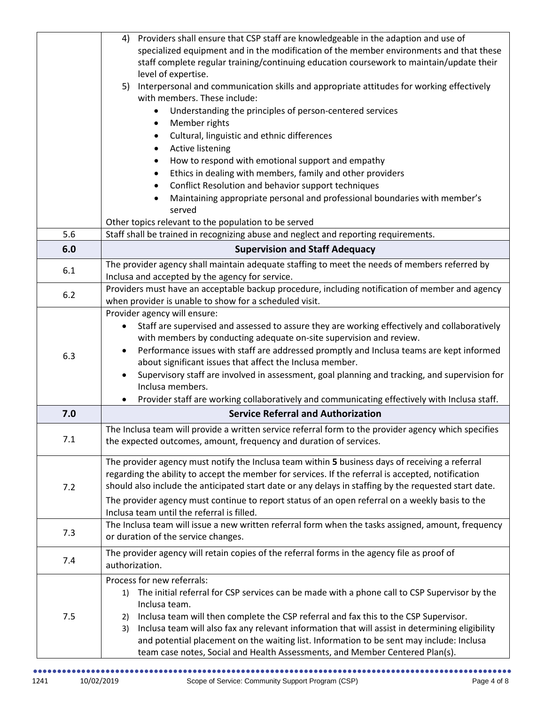|     | Providers shall ensure that CSP staff are knowledgeable in the adaption and use of<br>4)                                                                                 |
|-----|--------------------------------------------------------------------------------------------------------------------------------------------------------------------------|
|     | specialized equipment and in the modification of the member environments and that these                                                                                  |
|     | staff complete regular training/continuing education coursework to maintain/update their                                                                                 |
|     | level of expertise.                                                                                                                                                      |
|     | Interpersonal and communication skills and appropriate attitudes for working effectively<br>5)<br>with members. These include:                                           |
|     | Understanding the principles of person-centered services                                                                                                                 |
|     |                                                                                                                                                                          |
|     | Member rights                                                                                                                                                            |
|     | Cultural, linguistic and ethnic differences                                                                                                                              |
|     | Active listening                                                                                                                                                         |
|     | How to respond with emotional support and empathy                                                                                                                        |
|     | Ethics in dealing with members, family and other providers                                                                                                               |
|     | Conflict Resolution and behavior support techniques                                                                                                                      |
|     | Maintaining appropriate personal and professional boundaries with member's                                                                                               |
|     | served                                                                                                                                                                   |
|     | Other topics relevant to the population to be served                                                                                                                     |
| 5.6 | Staff shall be trained in recognizing abuse and neglect and reporting requirements.                                                                                      |
| 6.0 | <b>Supervision and Staff Adequacy</b>                                                                                                                                    |
|     | The provider agency shall maintain adequate staffing to meet the needs of members referred by                                                                            |
| 6.1 | Inclusa and accepted by the agency for service.                                                                                                                          |
|     | Providers must have an acceptable backup procedure, including notification of member and agency                                                                          |
| 6.2 | when provider is unable to show for a scheduled visit.                                                                                                                   |
|     | Provider agency will ensure:                                                                                                                                             |
|     | Staff are supervised and assessed to assure they are working effectively and collaboratively                                                                             |
|     | with members by conducting adequate on-site supervision and review.                                                                                                      |
|     | Performance issues with staff are addressed promptly and Inclusa teams are kept informed<br>$\bullet$                                                                    |
| 6.3 | about significant issues that affect the Inclusa member.                                                                                                                 |
|     | Supervisory staff are involved in assessment, goal planning and tracking, and supervision for                                                                            |
|     | Inclusa members.                                                                                                                                                         |
|     | Provider staff are working collaboratively and communicating effectively with Inclusa staff.                                                                             |
| 7.0 | <b>Service Referral and Authorization</b>                                                                                                                                |
|     | The Inclusa team will provide a written service referral form to the provider agency which specifies                                                                     |
| 7.1 | the expected outcomes, amount, frequency and duration of services.                                                                                                       |
|     |                                                                                                                                                                          |
|     | The provider agency must notify the Inclusa team within 5 business days of receiving a referral                                                                          |
|     | regarding the ability to accept the member for services. If the referral is accepted, notification                                                                       |
| 7.2 | should also include the anticipated start date or any delays in staffing by the requested start date.                                                                    |
|     | The provider agency must continue to report status of an open referral on a weekly basis to the                                                                          |
|     | Inclusa team until the referral is filled.                                                                                                                               |
|     | The Inclusa team will issue a new written referral form when the tasks assigned, amount, frequency                                                                       |
| 7.3 | or duration of the service changes.                                                                                                                                      |
|     | The provider agency will retain copies of the referral forms in the agency file as proof of                                                                              |
| 7.4 | authorization.                                                                                                                                                           |
|     |                                                                                                                                                                          |
|     |                                                                                                                                                                          |
|     | Process for new referrals:                                                                                                                                               |
|     | The initial referral for CSP services can be made with a phone call to CSP Supervisor by the<br>1)                                                                       |
|     | Inclusa team.                                                                                                                                                            |
| 7.5 | Inclusa team will then complete the CSP referral and fax this to the CSP Supervisor.<br>2)                                                                               |
|     | Inclusa team will also fax any relevant information that will assist in determining eligibility<br>3)                                                                    |
|     | and potential placement on the waiting list. Information to be sent may include: Inclusa<br>team case notes, Social and Health Assessments, and Member Centered Plan(s). |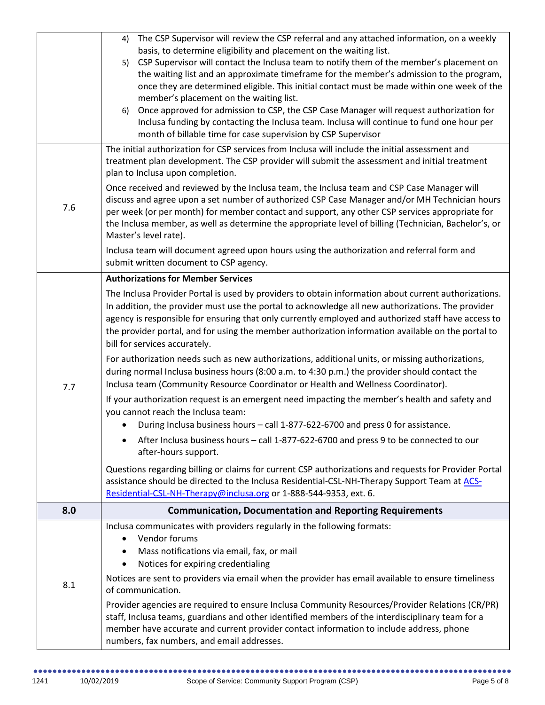|     | The CSP Supervisor will review the CSP referral and any attached information, on a weekly<br>4)<br>basis, to determine eligibility and placement on the waiting list.<br>CSP Supervisor will contact the Inclusa team to notify them of the member's placement on<br>5)                                                                                                                                                                                 |
|-----|---------------------------------------------------------------------------------------------------------------------------------------------------------------------------------------------------------------------------------------------------------------------------------------------------------------------------------------------------------------------------------------------------------------------------------------------------------|
|     | the waiting list and an approximate timeframe for the member's admission to the program,<br>once they are determined eligible. This initial contact must be made within one week of the<br>member's placement on the waiting list.                                                                                                                                                                                                                      |
|     | Once approved for admission to CSP, the CSP Case Manager will request authorization for<br>6)<br>Inclusa funding by contacting the Inclusa team. Inclusa will continue to fund one hour per<br>month of billable time for case supervision by CSP Supervisor                                                                                                                                                                                            |
|     | The initial authorization for CSP services from Inclusa will include the initial assessment and<br>treatment plan development. The CSP provider will submit the assessment and initial treatment<br>plan to Inclusa upon completion.                                                                                                                                                                                                                    |
| 7.6 | Once received and reviewed by the Inclusa team, the Inclusa team and CSP Case Manager will<br>discuss and agree upon a set number of authorized CSP Case Manager and/or MH Technician hours<br>per week (or per month) for member contact and support, any other CSP services appropriate for<br>the Inclusa member, as well as determine the appropriate level of billing (Technician, Bachelor's, or<br>Master's level rate).                         |
|     | Inclusa team will document agreed upon hours using the authorization and referral form and<br>submit written document to CSP agency.                                                                                                                                                                                                                                                                                                                    |
|     | <b>Authorizations for Member Services</b>                                                                                                                                                                                                                                                                                                                                                                                                               |
|     | The Inclusa Provider Portal is used by providers to obtain information about current authorizations.<br>In addition, the provider must use the portal to acknowledge all new authorizations. The provider<br>agency is responsible for ensuring that only currently employed and authorized staff have access to<br>the provider portal, and for using the member authorization information available on the portal to<br>bill for services accurately. |
| 7.7 | For authorization needs such as new authorizations, additional units, or missing authorizations,<br>during normal Inclusa business hours (8:00 a.m. to 4:30 p.m.) the provider should contact the<br>Inclusa team (Community Resource Coordinator or Health and Wellness Coordinator).                                                                                                                                                                  |
|     | If your authorization request is an emergent need impacting the member's health and safety and<br>you cannot reach the Inclusa team:                                                                                                                                                                                                                                                                                                                    |
|     | During Inclusa business hours - call 1-877-622-6700 and press 0 for assistance.                                                                                                                                                                                                                                                                                                                                                                         |
|     | After Inclusa business hours - call 1-877-622-6700 and press 9 to be connected to our<br>$\bullet$<br>after-hours support.                                                                                                                                                                                                                                                                                                                              |
|     | Questions regarding billing or claims for current CSP authorizations and requests for Provider Portal<br>assistance should be directed to the Inclusa Residential-CSL-NH-Therapy Support Team at ACS-<br>Residential-CSL-NH-Therapy@inclusa.org or 1-888-544-9353, ext. 6.                                                                                                                                                                              |
| 8.0 | <b>Communication, Documentation and Reporting Requirements</b>                                                                                                                                                                                                                                                                                                                                                                                          |
|     | Inclusa communicates with providers regularly in the following formats:<br>Vendor forums<br>$\bullet$<br>Mass notifications via email, fax, or mail<br>٠<br>Notices for expiring credentialing<br>$\bullet$                                                                                                                                                                                                                                             |
| 8.1 | Notices are sent to providers via email when the provider has email available to ensure timeliness<br>of communication.                                                                                                                                                                                                                                                                                                                                 |
|     | Provider agencies are required to ensure Inclusa Community Resources/Provider Relations (CR/PR)<br>staff, Inclusa teams, guardians and other identified members of the interdisciplinary team for a<br>member have accurate and current provider contact information to include address, phone<br>numbers, fax numbers, and email addresses.                                                                                                            |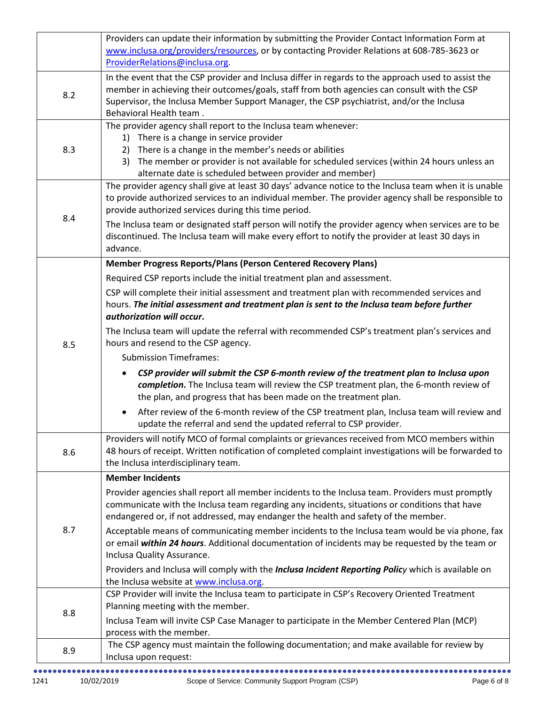|     | Providers can update their information by submitting the Provider Contact Information Form at                                                                                                     |
|-----|---------------------------------------------------------------------------------------------------------------------------------------------------------------------------------------------------|
|     | www.inclusa.org/providers/resources, or by contacting Provider Relations at 608-785-3623 or                                                                                                       |
|     | ProviderRelations@inclusa.org.                                                                                                                                                                    |
|     | In the event that the CSP provider and Inclusa differ in regards to the approach used to assist the                                                                                               |
| 8.2 | member in achieving their outcomes/goals, staff from both agencies can consult with the CSP                                                                                                       |
|     | Supervisor, the Inclusa Member Support Manager, the CSP psychiatrist, and/or the Inclusa                                                                                                          |
|     | Behavioral Health team.<br>The provider agency shall report to the Inclusa team whenever:                                                                                                         |
|     | 1) There is a change in service provider                                                                                                                                                          |
| 8.3 | There is a change in the member's needs or abilities<br>2)                                                                                                                                        |
|     | The member or provider is not available for scheduled services (within 24 hours unless an<br>3)                                                                                                   |
|     | alternate date is scheduled between provider and member)                                                                                                                                          |
|     | The provider agency shall give at least 30 days' advance notice to the Inclusa team when it is unable                                                                                             |
|     | to provide authorized services to an individual member. The provider agency shall be responsible to                                                                                               |
| 8.4 | provide authorized services during this time period.                                                                                                                                              |
|     | The Inclusa team or designated staff person will notify the provider agency when services are to be                                                                                               |
|     | discontinued. The Inclusa team will make every effort to notify the provider at least 30 days in                                                                                                  |
|     | advance.                                                                                                                                                                                          |
|     | Member Progress Reports/Plans (Person Centered Recovery Plans)                                                                                                                                    |
|     | Required CSP reports include the initial treatment plan and assessment.                                                                                                                           |
|     | CSP will complete their initial assessment and treatment plan with recommended services and                                                                                                       |
|     | hours. The initial assessment and treatment plan is sent to the Inclusa team before further                                                                                                       |
|     | authorization will occur.                                                                                                                                                                         |
|     | The Inclusa team will update the referral with recommended CSP's treatment plan's services and                                                                                                    |
| 8.5 | hours and resend to the CSP agency.                                                                                                                                                               |
|     | <b>Submission Timeframes:</b>                                                                                                                                                                     |
|     | CSP provider will submit the CSP 6-month review of the treatment plan to Inclusa upon                                                                                                             |
|     | completion. The Inclusa team will review the CSP treatment plan, the 6-month review of                                                                                                            |
|     | the plan, and progress that has been made on the treatment plan.                                                                                                                                  |
|     | After review of the 6-month review of the CSP treatment plan, Inclusa team will review and                                                                                                        |
|     | update the referral and send the updated referral to CSP provider.                                                                                                                                |
|     | Providers will notify MCO of formal complaints or grievances received from MCO members within                                                                                                     |
| 8.6 | 48 hours of receipt. Written notification of completed complaint investigations will be forwarded to<br>the Inclusa interdisciplinary team.                                                       |
|     |                                                                                                                                                                                                   |
|     | <b>Member Incidents</b>                                                                                                                                                                           |
|     | Provider agencies shall report all member incidents to the Inclusa team. Providers must promptly                                                                                                  |
|     | communicate with the Inclusa team regarding any incidents, situations or conditions that have<br>endangered or, if not addressed, may endanger the health and safety of the member.               |
| 8.7 |                                                                                                                                                                                                   |
|     | Acceptable means of communicating member incidents to the Inclusa team would be via phone, fax<br>or email within 24 hours. Additional documentation of incidents may be requested by the team or |
|     | Inclusa Quality Assurance.                                                                                                                                                                        |
|     | Providers and Inclusa will comply with the <i>Inclusa Incident Reporting Policy</i> which is available on                                                                                         |
|     | the Inclusa website at www.inclusa.org.                                                                                                                                                           |
| 8.8 | CSP Provider will invite the Inclusa team to participate in CSP's Recovery Oriented Treatment                                                                                                     |
|     | Planning meeting with the member.                                                                                                                                                                 |
|     | Inclusa Team will invite CSP Case Manager to participate in the Member Centered Plan (MCP)                                                                                                        |
|     | process with the member.                                                                                                                                                                          |
| 8.9 | The CSP agency must maintain the following documentation; and make available for review by                                                                                                        |
|     | Inclusa upon request:                                                                                                                                                                             |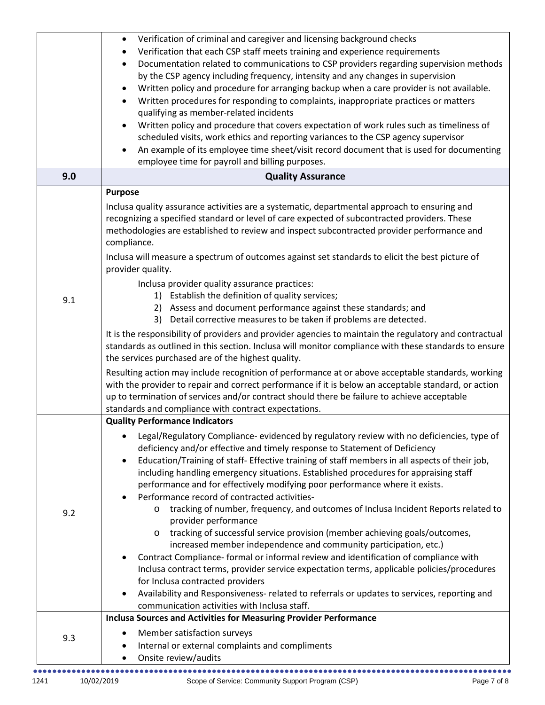|     | Verification of criminal and caregiver and licensing background checks<br>$\bullet$<br>Verification that each CSP staff meets training and experience requirements<br>Documentation related to communications to CSP providers regarding supervision methods<br>by the CSP agency including frequency, intensity and any changes in supervision<br>Written policy and procedure for arranging backup when a care provider is not available.<br>Written procedures for responding to complaints, inappropriate practices or matters<br>qualifying as member-related incidents<br>Written policy and procedure that covers expectation of work rules such as timeliness of<br>scheduled visits, work ethics and reporting variances to the CSP agency supervisor<br>An example of its employee time sheet/visit record document that is used for documenting<br>employee time for payroll and billing purposes.                                                                                                                                                                                                                                                                                                                                                                                                                                      |
|-----|----------------------------------------------------------------------------------------------------------------------------------------------------------------------------------------------------------------------------------------------------------------------------------------------------------------------------------------------------------------------------------------------------------------------------------------------------------------------------------------------------------------------------------------------------------------------------------------------------------------------------------------------------------------------------------------------------------------------------------------------------------------------------------------------------------------------------------------------------------------------------------------------------------------------------------------------------------------------------------------------------------------------------------------------------------------------------------------------------------------------------------------------------------------------------------------------------------------------------------------------------------------------------------------------------------------------------------------------------|
| 9.0 | <b>Quality Assurance</b>                                                                                                                                                                                                                                                                                                                                                                                                                                                                                                                                                                                                                                                                                                                                                                                                                                                                                                                                                                                                                                                                                                                                                                                                                                                                                                                           |
| 9.1 | <b>Purpose</b><br>Inclusa quality assurance activities are a systematic, departmental approach to ensuring and<br>recognizing a specified standard or level of care expected of subcontracted providers. These<br>methodologies are established to review and inspect subcontracted provider performance and<br>compliance.<br>Inclusa will measure a spectrum of outcomes against set standards to elicit the best picture of<br>provider quality.<br>Inclusa provider quality assurance practices:<br>1) Establish the definition of quality services;<br>2) Assess and document performance against these standards; and<br>Detail corrective measures to be taken if problems are detected.<br>3)<br>It is the responsibility of providers and provider agencies to maintain the regulatory and contractual<br>standards as outlined in this section. Inclusa will monitor compliance with these standards to ensure<br>the services purchased are of the highest quality.<br>Resulting action may include recognition of performance at or above acceptable standards, working<br>with the provider to repair and correct performance if it is below an acceptable standard, or action<br>up to termination of services and/or contract should there be failure to achieve acceptable<br>standards and compliance with contract expectations. |
| 9.2 | <b>Quality Performance Indicators</b><br>Legal/Regulatory Compliance- evidenced by regulatory review with no deficiencies, type of<br>deficiency and/or effective and timely response to Statement of Deficiency<br>Education/Training of staff- Effective training of staff members in all aspects of their job,<br>$\bullet$<br>including handling emergency situations. Established procedures for appraising staff<br>performance and for effectively modifying poor performance where it exists.<br>Performance record of contracted activities-<br>tracking of number, frequency, and outcomes of Inclusa Incident Reports related to<br>O<br>provider performance<br>tracking of successful service provision (member achieving goals/outcomes,<br>increased member independence and community participation, etc.)<br>Contract Compliance- formal or informal review and identification of compliance with<br>Inclusa contract terms, provider service expectation terms, applicable policies/procedures<br>for Inclusa contracted providers<br>Availability and Responsiveness- related to referrals or updates to services, reporting and<br>communication activities with Inclusa staff.                                                                                                                                                |
| 9.3 | <b>Inclusa Sources and Activities for Measuring Provider Performance</b><br>Member satisfaction surveys<br>Internal or external complaints and compliments<br>Onsite review/audits                                                                                                                                                                                                                                                                                                                                                                                                                                                                                                                                                                                                                                                                                                                                                                                                                                                                                                                                                                                                                                                                                                                                                                 |